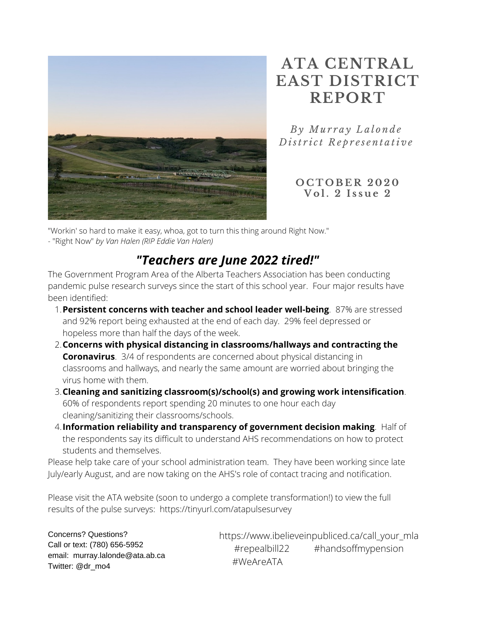

# **ATA CENTRAL EAST DISTRICT REPORT**

*B y Mu r r a y L a l o n d e D ist r i c t R e p r e s e n t a ti v e*

> **O C T O B E R 2 0 2 0 V o l . 2 I s s u e 2**

"Workin' so hard to make it easy, whoa, got to turn this thing around Right Now."

- "Right Now" *by Van Halen (RIP Eddie Van Halen)*

## *"Teachers are June 2022 tired!"*

The Government Program Area of the Alberta Teachers Association has been conducting pandemic pulse research surveys since the start of this school year. Four major results have been identified:

- **Persistent concerns with teacher and school leader well-being**. 87% are stressed 1. and 92% report being exhausted at the end of each day. 29% feel depressed or hopeless more than half the days of the week.
- **Concerns with physical distancing in classrooms/hallways and contracting the** 2. **Coronavirus**. 3/4 of respondents are concerned about physical distancing in classrooms and hallways, and nearly the same amount are worried about bringing the virus home with them.
- **Cleaning and sanitizing classroom(s)/school(s) and growing work intensification**. 3. 60% of respondents report spending 20 minutes to one hour each day cleaning/sanitizing their classrooms/schools.
- **Information reliability and transparency of government decision making**. Half of 4. the respondents say its difficult to understand AHS recommendations on how to protect students and themselves.

Please help take care of your school administration team. They have been working since late July/early August, and are now taking on the AHS's role of contact tracing and notification.

Please visit the ATA website (soon to undergo a complete transformation!) to view the full results of the pulse surveys: https://tinyurl.com/atapulsesurvey

Concerns? Questions? Call or text: (780) 656-5952 email: murray.lalonde@ata.ab.ca Twitter: @dr\_mo4

https://www.ibelieveinpubliced.ca/call\_your\_mla #repealbill22 #handsoffmypension #WeAreATA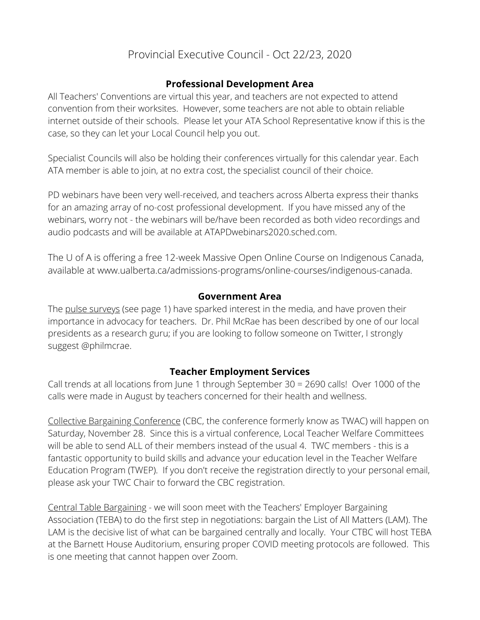### Provincial Executive Council - Oct 22/23, 2020

### **Professional Development Area**

All Teachers' Conventions are virtual this year, and teachers are not expected to attend convention from their worksites. However, some teachers are not able to obtain reliable internet outside of their schools. Please let your ATA School Representative know if this is the case, so they can let your Local Council help you out.

Specialist Councils will also be holding their conferences virtually for this calendar year. Each ATA member is able to join, at no extra cost, the specialist council of their choice.

PD webinars have been very well-received, and teachers across Alberta express their thanks for an amazing array of no-cost professional development. If you have missed any of the webinars, worry not - the webinars will be/have been recorded as both video recordings and audio podcasts and will be available at ATAPDwebinars2020.sched.com.

The U of A is offering a free 12-week Massive Open Online Course on Indigenous Canada, available at www.ualberta.ca/admissions-programs/online-courses/indigenous-canada.

### **Government Area**

The pulse surveys (see page 1) have sparked interest in the media, and have proven their importance in advocacy for teachers. Dr. Phil McRae has been described by one of our local presidents as a research guru; if you are looking to follow someone on Twitter, I strongly suggest @philmcrae.

### **Teacher Employment Services**

Call trends at all locations from June 1 through September 30 = 2690 calls! Over 1000 of the calls were made in August by teachers concerned for their health and wellness.

Collective Bargaining Conference (CBC, the conference formerly know as TWAC) will happen on Saturday, November 28. Since this is a virtual conference, Local Teacher Welfare Committees will be able to send ALL of their members instead of the usual 4. TWC members - this is a fantastic opportunity to build skills and advance your education level in the Teacher Welfare Education Program (TWEP). If you don't receive the registration directly to your personal email, please ask your TWC Chair to forward the CBC registration.

Central Table Bargaining - we will soon meet with the Teachers' Employer Bargaining Association (TEBA) to do the first step in negotiations: bargain the List of All Matters (LAM). The LAM is the decisive list of what can be bargained centrally and locally. Your CTBC will host TEBA at the Barnett House Auditorium, ensuring proper COVID meeting protocols are followed. This is one meeting that cannot happen over Zoom.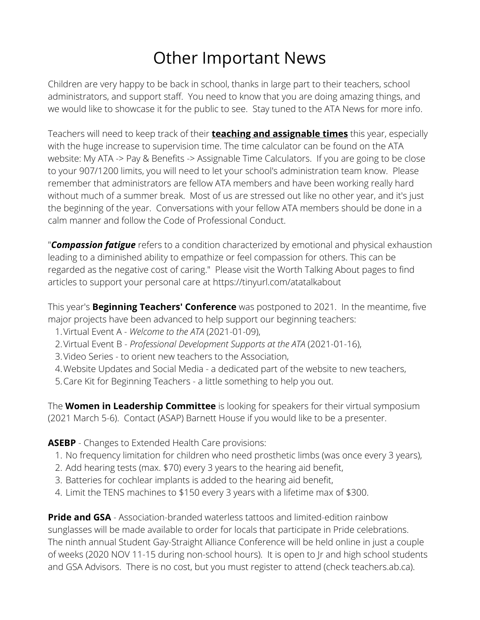# Other Important News

Children are very happy to be back in school, thanks in large part to their teachers, school administrators, and support staff. You need to know that you are doing amazing things, and we would like to showcase it for the public to see. Stay tuned to the ATA News for more info.

Teachers will need to keep track of their **teaching and assignable times** this year, especially with the huge increase to supervision time. The time calculator can be found on the ATA website: My ATA -> Pay & Benefits -> Assignable Time Calculators. If you are going to be close to your 907/1200 limits, you will need to let your school's administration team know. Please remember that administrators are fellow ATA members and have been working really hard without much of a summer break. Most of us are stressed out like no other year, and it's just the beginning of the year. Conversations with your fellow ATA members should be done in a calm manner and follow the Code of Professional Conduct.

"*Compassion fatigue* refers to a condition characterized by emotional and physical exhaustion leading to a diminished ability to empathize or feel compassion for others. This can be regarded as the negative cost of caring." Please visit the Worth Talking About pages to find articles to support your personal care at https://tinyurl.com/atatalkabout

This year's **Beginning Teachers' Conference** was postponed to 2021. In the meantime, five major projects have been advanced to help support our beginning teachers:

- Virtual Event A *Welcome to the ATA* (2021-01-09), 1.
- Virtual Event B *Professional Development Supports at the ATA* (2021-01-16), 2.
- 3. Video Series to orient new teachers to the Association,
- Website Updates and Social Media a dedicated part of the website to new teachers, 4.
- 5.Care Kit for Beginning Teachers a little something to help you out.

The **Women in Leadership Committee** is looking for speakers for their virtual symposium (2021 March 5-6). Contact (ASAP) Barnett House if you would like to be a presenter.

### **ASEBP** - Changes to Extended Health Care provisions:

- 1. No frequency limitation for children who need prosthetic limbs (was once every 3 years),
- 2. Add hearing tests (max. \$70) every 3 years to the hearing aid benefit,
- Batteries for cochlear implants is added to the hearing aid benefit, 3.
- Limit the TENS machines to \$150 every 3 years with a lifetime max of \$300. 4.

**Pride and GSA** - Association-branded waterless tattoos and limited-edition rainbow sunglasses will be made available to order for locals that participate in Pride celebrations. The ninth annual Student Gay-Straight Alliance Conference will be held online in just a couple of weeks (2020 NOV 11-15 during non-school hours). It is open to Jr and high school students and GSA Advisors. There is no cost, but you must register to attend (check teachers.ab.ca).